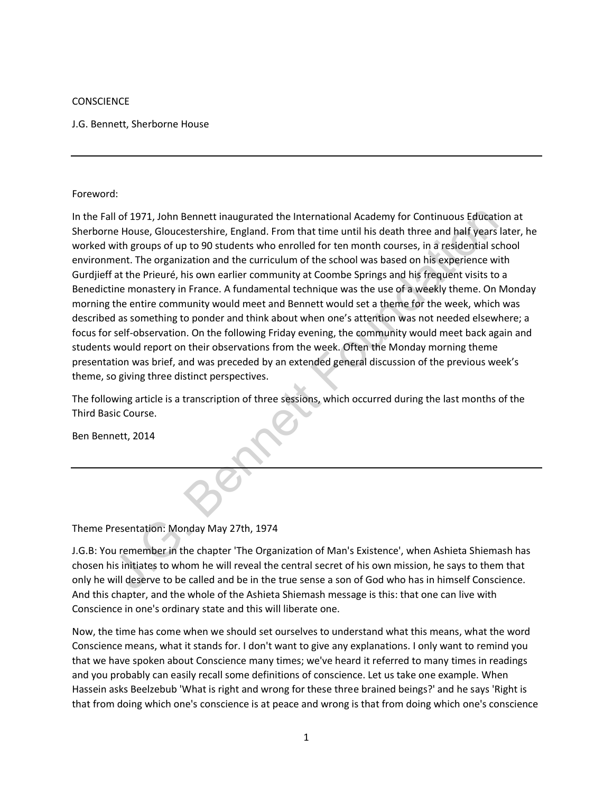### **CONSCIENCE**

J.G. Bennett, Sherborne House

#### Foreword:

II of 1971, John Bennett inaugurated the International Academy for Continuous Education<br>
He House, Gloucestershire, England. From that time until his death three and haif years lat<br>
in this death the granization and the cu In the Fall of 1971, John Bennett inaugurated the International Academy for Continuous Education at Sherborne House, Gloucestershire, England. From that time until his death three and half years later, he worked with groups of up to 90 students who enrolled for ten month courses, in a residential school environment. The organization and the curriculum of the school was based on his experience with Gurdjieff at the Prieuré, his own earlier community at Coombe Springs and his frequent visits to a Benedictine monastery in France. A fundamental technique was the use of a weekly theme. On Monday morning the entire community would meet and Bennett would set a theme for the week, which was described as something to ponder and think about when one's attention was not needed elsewhere; a focus for self-observation. On the following Friday evening, the community would meet back again and students would report on their observations from the week. Often the Monday morning theme presentation was brief, and was preceded by an extended general discussion of the previous week's theme, so giving three distinct perspectives.

The following article is a transcription of three sessions, which occurred during the last months of the Third Basic Course.

Ben Bennett, 2014

# Theme Presentation: Monday May 27th, 1974

J.G.B: You remember in the chapter 'The Organization of Man's Existence', when Ashieta Shiemash has chosen his initiates to whom he will reveal the central secret of his own mission, he says to them that only he will deserve to be called and be in the true sense a son of God who has in himself Conscience. And this chapter, and the whole of the Ashieta Shiemash message is this: that one can live with Conscience in one's ordinary state and this will liberate one.

Now, the time has come when we should set ourselves to understand what this means, what the word Conscience means, what it stands for. I don't want to give any explanations. I only want to remind you that we have spoken about Conscience many times; we've heard it referred to many times in readings and you probably can easily recall some definitions of conscience. Let us take one example. When Hassein asks Beelzebub 'What is right and wrong for these three brained beings?' and he says 'Right is that from doing which one's conscience is at peace and wrong is that from doing which one's conscience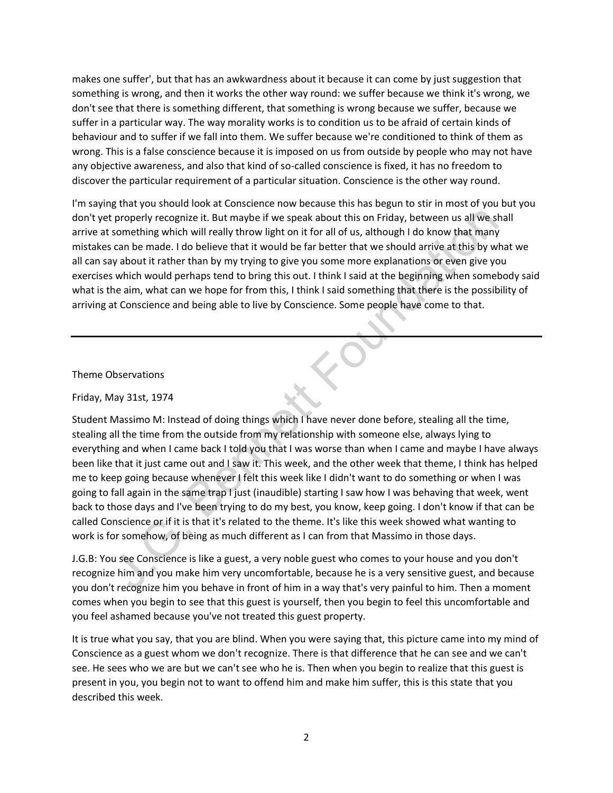makes one suffer', but that has an awkwardness about it because it can come by just suggestion that something is wrong, and then it works the other way round: we suffer because we think it's wrong, we don't see that there is something different, that something is wrong because we suffer, because we suffer in a particular way. The way morality works is to condition us to be afraid of certain kinds of behaviour and to suffer if we fall into them. We suffer because we're conditioned to think of them as wrong. This is a false conscience because it is imposed on us from outside by people who may not have any objective awareness, and also that kind of so-called conscience is fixed, it has no freedom to discover the particular requirement of a particular situation. Conscience is the other way round.

I'm saying that you should look at Conscience now because this has begun to stir in most of you but you don't yet properly recognize it. But maybe if we speak about this on Friday, between us all we shall arrive at something which will really throw light on it for all of us, although I do know that many mistakes can be made. I do believe that it would be far better that we should arrive at this by what we all can say about it rather than by my trying to give you some more explanations or even give you exercises which would perhaps tend to bring this out. I think I said at the beginning when somebody said what is the aim, what can we hope for from this, I think I said something that there is the possibility of arriving at Conscience and being able to live by Conscience. Some people have come to that.

# Theme Observations

# Friday, May 31st, 1974

properly recognize it. But maybe if we speak about this on Friday, between us all we shal<br>can be made. I do believe that it would ghe far better that we should arrive at this by what<br>can be made. I do believe that it would Student Massimo M: Instead of doing things which I have never done before, stealing all the time, stealing all the time from the outside from my relationship with someone else, always lying to everything and when I came back I told you that I was worse than when I came and maybe I have always been like that it just came out and I saw it. This week, and the other week that theme, I think has helped me to keep going because whenever I felt this week like I didn't want to do something or when I was going to fall again in the same trap I just (inaudible) starting I saw how I was behaving that week, went back to those days and I've been trying to do my best, you know, keep going. I don't know if that can be called Conscience or if it is that it's related to the theme. It's like this week showed what wanting to work is for somehow, of being as much different as I can from that Massimo in those days.

J.G.B: You see Conscience is like a guest, a very noble guest who comes to your house and you don't recognize him and you make him very uncomfortable, because he is a very sensitive guest, and because you don't recognize him you behave in front of him in a way that's very painful to him. Then a moment comes when you begin to see that this guest is yourself, then you begin to feel this uncomfortable and you feel ashamed because you've not treated this guest property.

It is true what you say, that you are blind. When you were saying that, this picture came into my mind of Conscience as a guest whom we don't recognize. There is that difference that he can see and we can't see. He sees who we are but we can't see who he is. Then when you begin to realize that this guest is present in you, you begin not to want to offend him and make him suffer, this is this state that you described this week.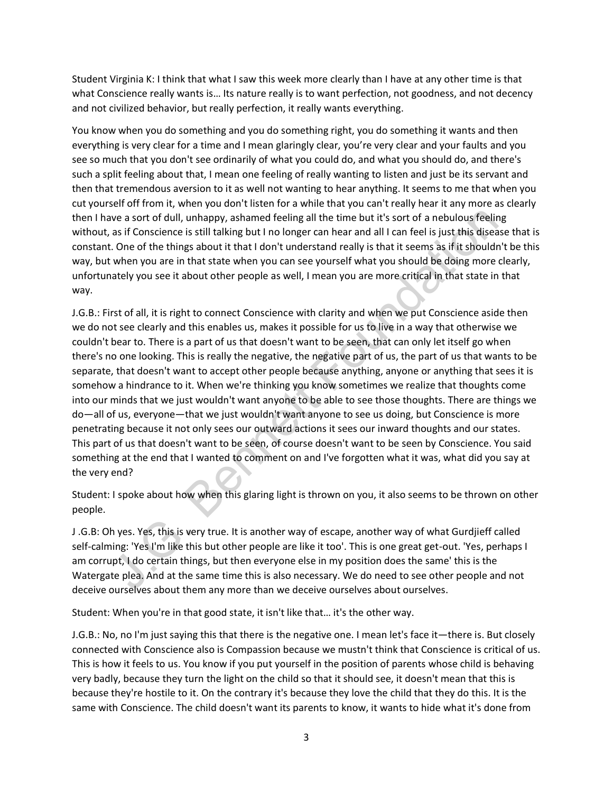Student Virginia K: I think that what I saw this week more clearly than I have at any other time is that what Conscience really wants is… Its nature really is to want perfection, not goodness, and not decency and not civilized behavior, but really perfection, it really wants everything.

You know when you do something and you do something right, you do something it wants and then everything is very clear for a time and I mean glaringly clear, you're very clear and your faults and you see so much that you don't see ordinarily of what you could do, and what you should do, and there's such a split feeling about that, I mean one feeling of really wanting to listen and just be its servant and then that tremendous aversion to it as well not wanting to hear anything. It seems to me that when you cut yourself off from it, when you don't listen for a while that you can't really hear it any more as clearly then I have a sort of dull, unhappy, ashamed feeling all the time but it's sort of a nebulous feeling without, as if Conscience is still talking but I no longer can hear and all I can feel is just this disease that is constant. One of the things about it that I don't understand really is that it seems as if it shouldn't be this way, but when you are in that state when you can see yourself what you should be doing more clearly, unfortunately you see it about other people as well, I mean you are more critical in that state in that way.

we a sort of dull, unhappy, ashamed feeling all the time but it's sort of a nebulous feeling<br>as if Conscirce is still taking but I no longer can hear and all I can feel is just this disease<br>... One of the things about it t J.G.B.: First of all, it is right to connect Conscience with clarity and when we put Conscience aside then we do not see clearly and this enables us, makes it possible for us to live in a way that otherwise we couldn't bear to. There is a part of us that doesn't want to be seen, that can only let itself go when there's no one looking. This is really the negative, the negative part of us, the part of us that wants to be separate, that doesn't want to accept other people because anything, anyone or anything that sees it is somehow a hindrance to it. When we're thinking you know sometimes we realize that thoughts come into our minds that we just wouldn't want anyone to be able to see those thoughts. There are things we do―all of us, everyone―that we just wouldn't want anyone to see us doing, but Conscience is more penetrating because it not only sees our outward actions it sees our inward thoughts and our states. This part of us that doesn't want to be seen, of course doesn't want to be seen by Conscience. You said something at the end that I wanted to comment on and I've forgotten what it was, what did you say at the very end?

Student: I spoke about how when this glaring light is thrown on you, it also seems to be thrown on other people.

J .G.B: Oh yes. Yes, this is very true. It is another way of escape, another way of what Gurdjieff called self-calming: 'Yes I'm like this but other people are like it too'. This is one great get-out. 'Yes, perhaps I am corrupt, I do certain things, but then everyone else in my position does the same' this is the Watergate plea. And at the same time this is also necessary. We do need to see other people and not deceive ourselves about them any more than we deceive ourselves about ourselves.

Student: When you're in that good state, it isn't like that… it's the other way.

J.G.B.: No, no I'm just saying this that there is the negative one. I mean let's face it―there is. But closely connected with Conscience also is Compassion because we mustn't think that Conscience is critical of us. This is how it feels to us. You know if you put yourself in the position of parents whose child is behaving very badly, because they turn the light on the child so that it should see, it doesn't mean that this is because they're hostile to it. On the contrary it's because they love the child that they do this. It is the same with Conscience. The child doesn't want its parents to know, it wants to hide what it's done from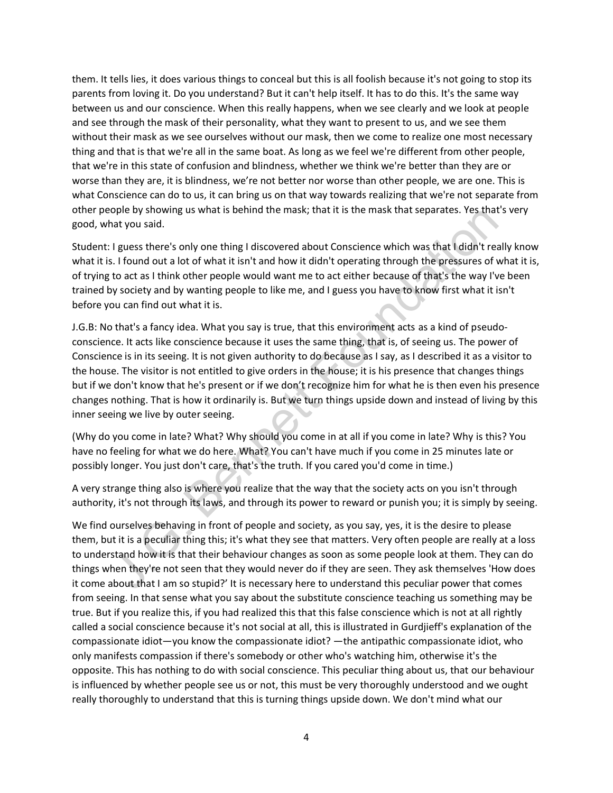them. It tells lies, it does various things to conceal but this is all foolish because it's not going to stop its parents from loving it. Do you understand? But it can't help itself. It has to do this. It's the same way between us and our conscience. When this really happens, when we see clearly and we look at people and see through the mask of their personality, what they want to present to us, and we see them without their mask as we see ourselves without our mask, then we come to realize one most necessary thing and that is that we're all in the same boat. As long as we feel we're different from other people, that we're in this state of confusion and blindness, whether we think we're better than they are or worse than they are, it is blindness, we're not better nor worse than other people, we are one. This is what Conscience can do to us, it can bring us on that way towards realizing that we're not separate from other people by showing us what is behind the mask; that it is the mask that separates. Yes that's very good, what you said.

Student: I guess there's only one thing I discovered about Conscience which was that I didn't really know what it is. I found out a lot of what it isn't and how it didn't operating through the pressures of what it is, of trying to act as I think other people would want me to act either because of that's the way I've been trained by society and by wanting people to like me, and I guess you have to know first what it isn't before you can find out what it is.

ope by showing us what is benind the mask; that it is the mask that separates. Yes that's hat you said.<br>I guess there's only one thing I discovered about Conscience which was that I didn't really. I found out a lot of what J.G.B: No that's a fancy idea. What you say is true, that this environment acts as a kind of pseudoconscience. It acts like conscience because it uses the same thing, that is, of seeing us. The power of Conscience is in its seeing. It is not given authority to do because as I say, as I described it as a visitor to the house. The visitor is not entitled to give orders in the house; it is his presence that changes things but if we don't know that he's present or if we don't recognize him for what he is then even his presence changes nothing. That is how it ordinarily is. But we turn things upside down and instead of living by this inner seeing we live by outer seeing.

(Why do you come in late? What? Why should you come in at all if you come in late? Why is this? You have no feeling for what we do here. What? You can't have much if you come in 25 minutes late or possibly longer. You just don't care, that's the truth. If you cared you'd come in time.)

A very strange thing also is where you realize that the way that the society acts on you isn't through authority, it's not through its laws, and through its power to reward or punish you; it is simply by seeing.

We find ourselves behaving in front of people and society, as you say, yes, it is the desire to please them, but it is a peculiar thing this; it's what they see that matters. Very often people are really at a loss to understand how it is that their behaviour changes as soon as some people look at them. They can do things when they're not seen that they would never do if they are seen. They ask themselves 'How does it come about that I am so stupid?' It is necessary here to understand this peculiar power that comes from seeing. In that sense what you say about the substitute conscience teaching us something may be true. But if you realize this, if you had realized this that this false conscience which is not at all rightly called a social conscience because it's not social at all, this is illustrated in Gurdjieff's explanation of the compassionate idiot―you know the compassionate idiot? ―the antipathic compassionate idiot, who only manifests compassion if there's somebody or other who's watching him, otherwise it's the opposite. This has nothing to do with social conscience. This peculiar thing about us, that our behaviour is influenced by whether people see us or not, this must be very thoroughly understood and we ought really thoroughly to understand that this is turning things upside down. We don't mind what our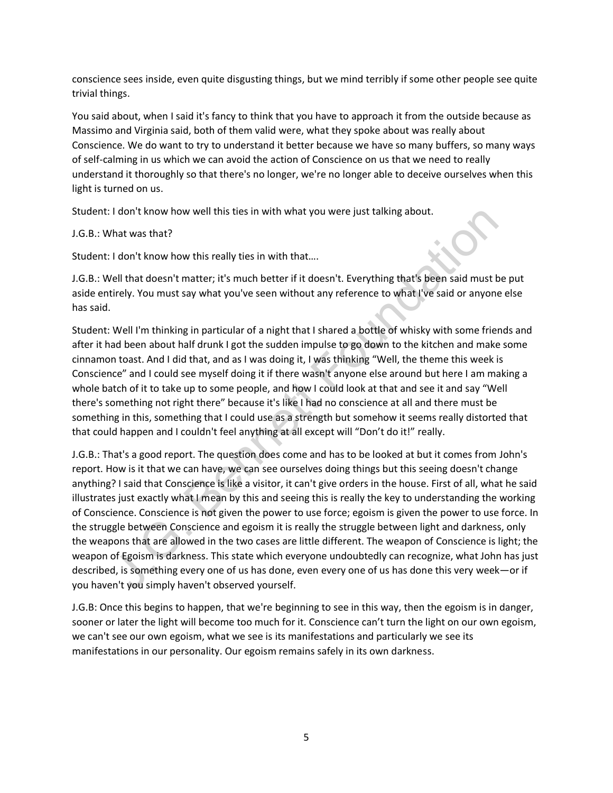conscience sees inside, even quite disgusting things, but we mind terribly if some other people see quite trivial things.

You said about, when I said it's fancy to think that you have to approach it from the outside because as Massimo and Virginia said, both of them valid were, what they spoke about was really about Conscience. We do want to try to understand it better because we have so many buffers, so many ways of self-calming in us which we can avoid the action of Conscience on us that we need to really understand it thoroughly so that there's no longer, we're no longer able to deceive ourselves when this light is turned on us.

Student: I don't know how well this ties in with what you were just talking about.

# J.G.B.: What was that?

Student: I don't know how this really ties in with that….

J.G.B.: Well that doesn't matter; it's much better if it doesn't. Everything that's been said must be put aside entirely. You must say what you've seen without any reference to what I've said or anyone else has said.

Student: Well I'm thinking in particular of a night that I shared a bottle of whisky with some friends and after it had been about half drunk I got the sudden impulse to go down to the kitchen and make some cinnamon toast. And I did that, and as I was doing it, I was thinking "Well, the theme this week is Conscience" and I could see myself doing it if there wasn't anyone else around but here I am making a whole batch of it to take up to some people, and how I could look at that and see it and say "Well there's something not right there" because it's like I had no conscience at all and there must be something in this, something that I could use as a strength but somehow it seems really distorted that that could happen and I couldn't feel anything at all except will "Don't do it!" really.

I don't know how well this ties in with what you were just talking about.<br>
That was that?<br>
I don't know how this really ties in with that....<br>
I don't know how this really ties in with that...<br>
I don't know how this really J.G.B.: That's a good report. The question does come and has to be looked at but it comes from John's report. How is it that we can have, we can see ourselves doing things but this seeing doesn't change anything? I said that Conscience is like a visitor, it can't give orders in the house. First of all, what he said illustrates just exactly what I mean by this and seeing this is really the key to understanding the working of Conscience. Conscience is not given the power to use force; egoism is given the power to use force. In the struggle between Conscience and egoism it is really the struggle between light and darkness, only the weapons that are allowed in the two cases are little different. The weapon of Conscience is light; the weapon of Egoism is darkness. This state which everyone undoubtedly can recognize, what John has just described, is something every one of us has done, even every one of us has done this very week―or if you haven't you simply haven't observed yourself.

J.G.B: Once this begins to happen, that we're beginning to see in this way, then the egoism is in danger, sooner or later the light will become too much for it. Conscience can't turn the light on our own egoism, we can't see our own egoism, what we see is its manifestations and particularly we see its manifestations in our personality. Our egoism remains safely in its own darkness.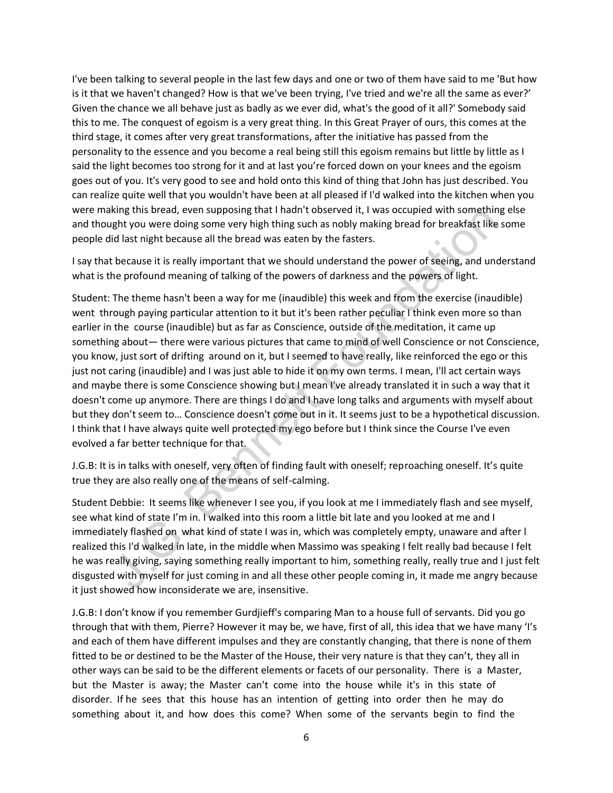I've been talking to several people in the last few days and one or two of them have said to me 'But how is it that we haven't changed? How is that we've been trying, I've tried and we're all the same as ever?' Given the chance we all behave just as badly as we ever did, what's the good of it all?' Somebody said this to me. The conquest of egoism is a very great thing. In this Great Prayer of ours, this comes at the third stage, it comes after very great transformations, after the initiative has passed from the personality to the essence and you become a real being still this egoism remains but little by little as I said the light becomes too strong for it and at last you're forced down on your knees and the egoism goes out of you. It's very good to see and hold onto this kind of thing that John has just described. You can realize quite well that you wouldn't have been at all pleased if I'd walked into the kitchen when you were making this bread, even supposing that I hadn't observed it, I was occupied with something else and thought you were doing some very high thing such as nobly making bread for breakfast like some people did last night because all the bread was eaten by the fasters.

I say that because it is really important that we should understand the power of seeing, and understand what is the profound meaning of talking of the powers of darkness and the powers of light.

King this bread, even supposing that in anti nobserveal it, i was occupied with something relatively and a supposing that the bread variatively by the fasters.<br>Using the two-doing some very high thing such as nobly making Student: The theme hasn't been a way for me (inaudible) this week and from the exercise (inaudible) went through paying particular attention to it but it's been rather peculiar I think even more so than earlier in the course (inaudible) but as far as Conscience, outside of the meditation, it came up something about— there were various pictures that came to mind of well Conscience or not Conscience, you know, just sort of drifting around on it, but I seemed to have really, like reinforced the ego or this just not caring (inaudible) and I was just able to hide it on my own terms. I mean, I'll act certain ways and maybe there is some Conscience showing but I mean I've already translated it in such a way that it doesn't come up anymore. There are things I do and I have long talks and arguments with myself about but they don't seem to… Conscience doesn't come out in it. It seems just to be a hypothetical discussion. I think that I have always quite well protected my ego before but I think since the Course I've even evolved a far better technique for that.

J.G.B: It is in talks with oneself, very often of finding fault with oneself; reproaching oneself. It's quite true they are also really one of the means of self-calming.

Student Debbie: It seems like whenever I see you, if you look at me I immediately flash and see myself, see what kind of state I'm in. I walked into this room a little bit late and you looked at me and I immediately flashed on what kind of state I was in, which was completely empty, unaware and after l realized this I'd walked in late, in the middle when Massimo was speaking I felt really bad because I felt he was really giving, saying something really important to him, something really, really true and I just felt disgusted with myself for just coming in and all these other people coming in, it made me angry because it just showed how inconsiderate we are, insensitive.

J.G.B: I don't know if you remember Gurdjieff's comparing Man to a house full of servants. Did you go through that with them, Pierre? However it may be, we have, first of all, this idea that we have many 'I's and each of them have different impulses and they are constantly changing, that there is none of them fitted to be or destined to be the Master of the House, their very nature is that they can't, they all in other ways can be said to be the different elements or facets of our personality. There is a Master, but the Master is away; the Master can't come into the house while it's in this state of disorder. If he sees that this house has an intention of getting into order then he may do something about it, and how does this come? When some of the servants begin to find the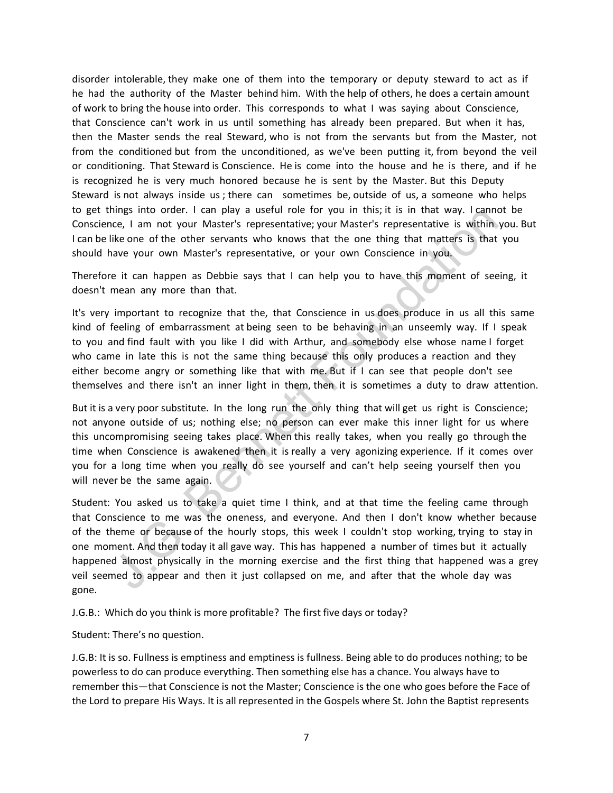disorder intolerable, they make one of them into the temporary or deputy steward to act as if he had the authority of the Master behind him. With the help of others, he does a certain amount of work to bring the house into order. This corresponds to what I was saying about Conscience, that Conscience can't work in us until something has already been prepared. But when it has, then the Master sends the real Steward, who is not from the servants but from the Master, not from the conditioned but from the unconditioned, as we've been putting it, from beyond the veil or conditioning. That Steward is Conscience. He is come into the house and he is there, and if he is recognized he is very much honored because he is sent by the Master. But this Deputy Steward is not always inside us ; there can sometimes be, outside of us, a someone who helps to get things into order. I can play a useful role for you in this; it is in that way. I cannot be Conscience, I am not your Master's representative; your Master's representative is within you. But I can be like one of the other servants who knows that the one thing that matters is that you should have your own Master's representative, or your own Conscience in you.

Therefore it can happen as Debbie says that I can help you to have this moment of seeing, it doesn't mean any more than that.

It's very important to recognize that the, that Conscience in us does produce in us all this same kind of feeling of embarrassment at being seen to be behaving in an unseemly way. If I speak to you and find fault with you like I did with Arthur, and somebody else whose name I forget who came in late this is not the same thing because this only produces a reaction and they either become angry or something like that with me. But if I can see that people don't see themselves and there isn't an inner light in them, then it is sometimes a duty to draw attention.

But it is a very poor substitute. In the long run the only thing that will get us right is Conscience; not anyone outside of us; nothing else; no person can ever make this inner light for us where this uncompromising seeing takes place. When this really takes, when you really go through the time when Conscience is awakened then it is really a very agonizing experience. If it comes over you for a long time when you really do see yourself and can't help seeing yourself then you will never be the same again.

nings into orcer. I can pay a userul roe for you in this; it is in that way. I cannot way the mediator orce, I am not your Master's representative; your Master's representative is within you<br>like one of the other servants Student: You asked us to take a quiet time I think, and at that time the feeling came through that Conscience to me was the oneness, and everyone. And then I don't know whether because of the theme or because of the hourly stops, this week I couldn't stop working, trying to stay in one moment. And then today it all gave way. This has happened a number of times but it actually happened almost physically in the morning exercise and the first thing that happened was a grey veil seemed to appear and then it just collapsed on me, and after that the whole day was gone.

J.G.B.: Which do you think is more profitable? The first five days or today?

Student: There's no question.

J.G.B: It is so. Fullness is emptiness and emptiness is fullness. Being able to do produces nothing; to be powerless to do can produce everything. Then something else has a chance. You always have to remember this―that Conscience is not the Master; Conscience is the one who goes before the Face of the Lord to prepare His Ways. It is all represented in the Gospels where St. John the Baptist represents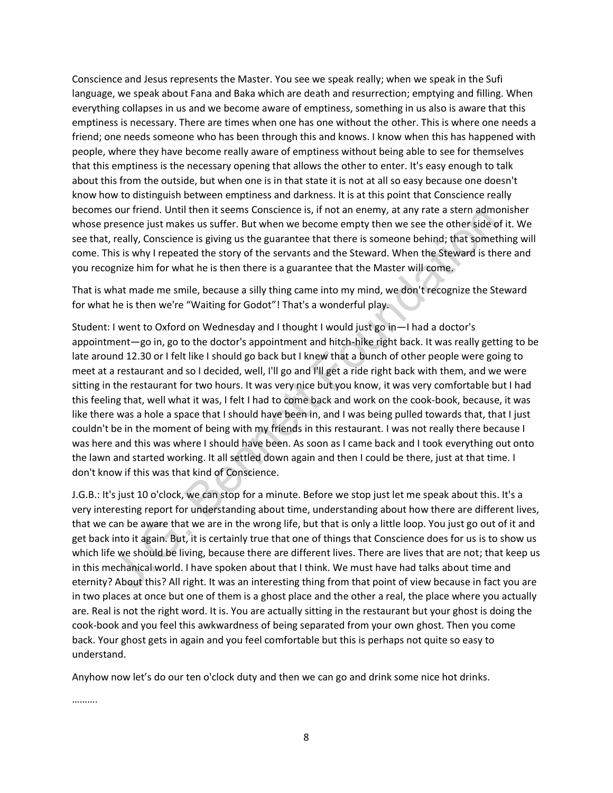Conscience and Jesus represents the Master. You see we speak really; when we speak in the Sufi language, we speak about Fana and Baka which are death and resurrection; emptying and filling. When everything collapses in us and we become aware of emptiness, something in us also is aware that this emptiness is necessary. There are times when one has one without the other. This is where one needs a friend; one needs someone who has been through this and knows. I know when this has happened with people, where they have become really aware of emptiness without being able to see for themselves that this emptiness is the necessary opening that allows the other to enter. It's easy enough to talk about this from the outside, but when one is in that state it is not at all so easy because one doesn't know how to distinguish between emptiness and darkness. It is at this point that Conscience really becomes our friend. Until then it seems Conscience is, if not an enemy, at any rate a stern admonisher whose presence just makes us suffer. But when we become empty then we see the other side of it. We see that, really, Conscience is giving us the guarantee that there is someone behind; that something will come. This is why I repeated the story of the servants and the Steward. When the Steward is there and you recognize him for what he is then there is a guarantee that the Master will come.

That is what made me smile, because a silly thing came into my mind, we don't recognize the Steward for what he is then we're "Waiting for Godot"! That's a wonderful play.

our triend. Unterint is essens considence is, in not an enemy, at any rate a stem admoningion is researce just makes us suffer. But when we become empty then we see the otherside of iteally, Conscience is giving us the gua Student: I went to Oxford on Wednesday and I thought I would just go in—I had a doctor's appointment―go in, go to the doctor's appointment and hitch-hike right back. It was really getting to be late around 12.30 or I felt like I should go back but I knew that a bunch of other people were going to meet at a restaurant and so I decided, well, I'll go and I'll get a ride right back with them, and we were sitting in the restaurant for two hours. It was very nice but you know, it was very comfortable but I had this feeling that, well what it was, I felt I had to come back and work on the cook-book, because, it was like there was a hole a space that I should have been in, and I was being pulled towards that, that I just couldn't be in the moment of being with my friends in this restaurant. I was not really there because I was here and this was where I should have been. As soon as I came back and I took everything out onto the lawn and started working. It all settled down again and then I could be there, just at that time. I don't know if this was that kind of Conscience.

J.G.B.: It's just 10 o'clock, we can stop for a minute. Before we stop just let me speak about this. It's a very interesting report for understanding about time, understanding about how there are different lives, that we can be aware that we are in the wrong life, but that is only a little loop. You just go out of it and get back into it again. But, it is certainly true that one of things that Conscience does for us is to show us which life we should be living, because there are different lives. There are lives that are not; that keep us in this mechanical world. I have spoken about that I think. We must have had talks about time and eternity? About this? All right. It was an interesting thing from that point of view because in fact you are in two places at once but one of them is a ghost place and the other a real, the place where you actually are. Real is not the right word. It is. You are actually sitting in the restaurant but your ghost is doing the cook-book and you feel this awkwardness of being separated from your own ghost. Then you come back. Your ghost gets in again and you feel comfortable but this is perhaps not quite so easy to understand.

Anyhow now let's do our ten o'clock duty and then we can go and drink some nice hot drinks.

……….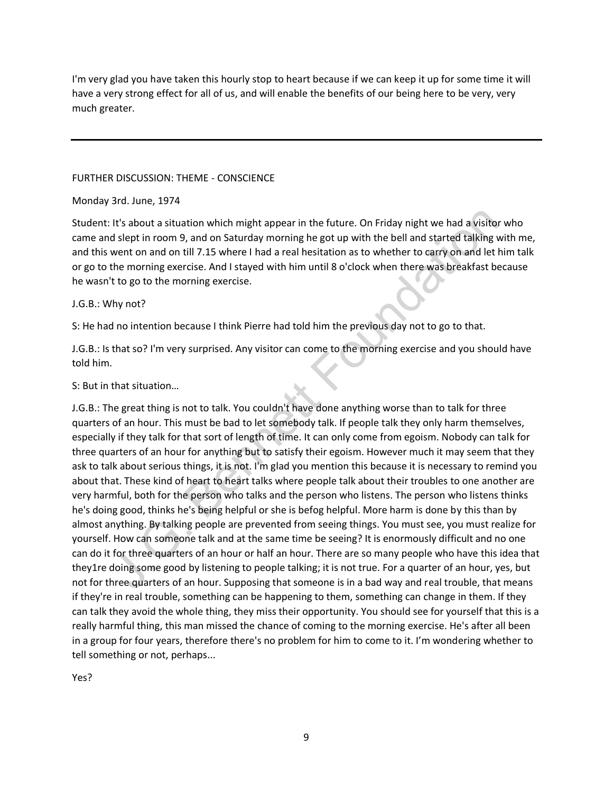I'm very glad you have taken this hourly stop to heart because if we can keep it up for some time it will have a very strong effect for all of us, and will enable the benefits of our being here to be very, very much greater.

# FURTHER DISCUSSION: THEME - CONSCIENCE

### Monday 3rd. June, 1974

Student: It's about a situation which might appear in the future. On Friday night we had a visitor who came and slept in room 9, and on Saturday morning he got up with the bell and started talking with me, and this went on and on till 7.15 where I had a real hesitation as to whether to carry on and let him talk or go to the morning exercise. And I stayed with him until 8 o'clock when there was breakfast because he wasn't to go to the morning exercise.

# J.G.B.: Why not?

S: He had no intention because I think Pierre had told him the previous day not to go to that.

J.G.B.: Is that so? I'm very surprised. Any visitor can come to the morning exercise and you should have told him.

# S: But in that situation…

It's about a situation which might appear in the future. On Friday night we had a visitor w<br>It's about a situation which might appear in the future. On Friday night we had a visitor w<br>servent on and on till? 1.55 where I h J.G.B.: The great thing is not to talk. You couldn't have done anything worse than to talk for three quarters of an hour. This must be bad to let somebody talk. If people talk they only harm themselves, especially if they talk for that sort of length of time. It can only come from egoism. Nobody can talk for three quarters of an hour for anything but to satisfy their egoism. However much it may seem that they ask to talk about serious things, it is not. I'm glad you mention this because it is necessary to remind you about that. These kind of heart to heart talks where people talk about their troubles to one another are very harmful, both for the person who talks and the person who listens. The person who listens thinks he's doing good, thinks he's being helpful or she is befog helpful. More harm is done by this than by almost anything. By talking people are prevented from seeing things. You must see, you must realize for yourself. How can someone talk and at the same time be seeing? It is enormously difficult and no one can do it for three quarters of an hour or half an hour. There are so many people who have this idea that they1re doing some good by listening to people talking; it is not true. For a quarter of an hour, yes, but not for three quarters of an hour. Supposing that someone is in a bad way and real trouble, that means if they're in real trouble, something can be happening to them, something can change in them. If they can talk they avoid the whole thing, they miss their opportunity. You should see for yourself that this is a really harmful thing, this man missed the chance of coming to the morning exercise. He's after all been in a group for four years, therefore there's no problem for him to come to it. I'm wondering whether to tell something or not, perhaps...

Yes?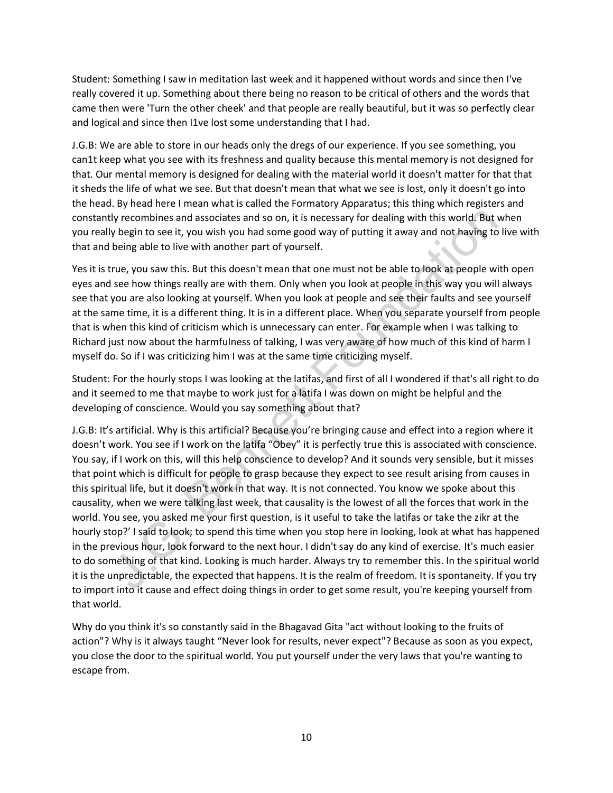Student: Something I saw in meditation last week and it happened without words and since then I've really covered it up. Something about there being no reason to be critical of others and the words that came then were 'Turn the other cheek' and that people are really beautiful, but it was so perfectly clear and logical and since then I1ve lost some understanding that I had.

J.G.B: We are able to store in our heads only the dregs of our experience. If you see something, you can1t keep what you see with its freshness and quality because this mental memory is not designed for that. Our mental memory is designed for dealing with the material world it doesn't matter for that that it sheds the life of what we see. But that doesn't mean that what we see is lost, only it doesn't go into the head. By head here I mean what is called the Formatory Apparatus; this thing which registers and constantly recombines and associates and so on, it is necessary for dealing with this world. But when you really begin to see it, you wish you had some good way of putting it away and not having to live with that and being able to live with another part of yourself.

Yes it is true, you saw this. But this doesn't mean that one must not be able to look at people with open eyes and see how things really are with them. Only when you look at people in this way you will always see that you are also looking at yourself. When you look at people and see their faults and see yourself at the same time, it is a different thing. It is in a different place. When you separate yourself from people that is when this kind of criticism which is unnecessary can enter. For example when I was talking to Richard just now about the harmfulness of talking, I was very aware of how much of this kind of harm I myself do. So if I was criticizing him I was at the same time criticizing myself.

Student: For the hourly stops I was looking at the latifas, and first of all I wondered if that's all right to do and it seemed to me that maybe to work just for a latifa I was down on might be helpful and the developing of conscience. Would you say something about that?

ly recombines and associates and so on, it is necessary for dealing with this world. But wh<br>y begin to see it, you wish you had some good way of putting it away and not having to live<br>being able to live with another part o J.G.B: It's artificial. Why is this artificial? Because you're bringing cause and effect into a region where it doesn't work. You see if I work on the latifa "Obey" it is perfectly true this is associated with conscience. You say, if I work on this, will this help conscience to develop? And it sounds very sensible, but it misses that point which is difficult for people to grasp because they expect to see result arising from causes in this spiritual life, but it doesn't work in that way. It is not connected. You know we spoke about this causality, when we were talking last week, that causality is the lowest of all the forces that work in the world. You see, you asked me your first question, is it useful to take the latifas or take the zikr at the hourly stop?' I said to look; to spend this time when you stop here in looking, look at what has happened in the previous hour, look forward to the next hour. I didn't say do any kind of exercise. It's much easier to do something of that kind. Looking is much harder. Always try to remember this. In the spiritual world it is the unpredictable, the expected that happens. It is the realm of freedom. It is spontaneity. If you try to import into it cause and effect doing things in order to get some result, you're keeping yourself from that world.

Why do you think it's so constantly said in the Bhagavad Gita "act without looking to the fruits of action"? Why is it always taught "Never look for results, never expect"? Because as soon as you expect, you close the door to the spiritual world. You put yourself under the very laws that you're wanting to escape from.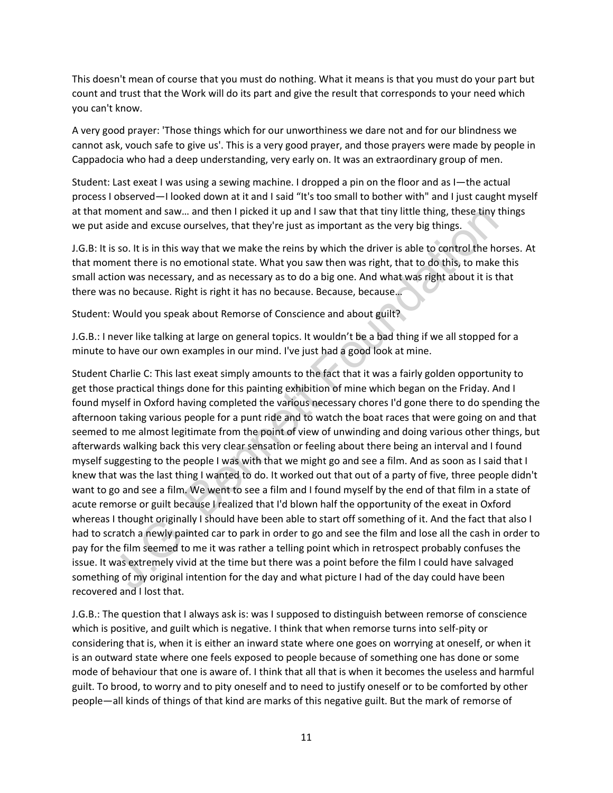This doesn't mean of course that you must do nothing. What it means is that you must do your part but count and trust that the Work will do its part and give the result that corresponds to your need which you can't know.

A very good prayer: 'Those things which for our unworthiness we dare not and for our blindness we cannot ask, vouch safe to give us'. This is a very good prayer, and those prayers were made by people in Cappadocia who had a deep understanding, very early on. It was an extraordinary group of men.

Student: Last exeat I was using a sewing machine. I dropped a pin on the floor and as I―the actual process I observed―I looked down at it and I said "It's too small to bother with" and I just caught myself at that moment and saw… and then I picked it up and I saw that that tiny little thing, these tiny things we put aside and excuse ourselves, that they're just as important as the very big things.

J.G.B: It is so. It is in this way that we make the reins by which the driver is able to control the horses. At that moment there is no emotional state. What you saw then was right, that to do this, to make this small action was necessary, and as necessary as to do a big one. And what was right about it is that there was no because. Right is right it has no because. Because, because…

Student: Would you speak about Remorse of Conscience and about guilt?

J.G.B.: I never like talking at large on general topics. It wouldn't be a bad thing if we all stopped for a minute to have our own examples in our mind. I've just had a good look at mine.

noment and saw... and then lpicked it up and I saw that that tiny little thing, these tiny this<br>side and excuse ourselves, that they're just as important as the very big things.<br>So so. It is in this way that we make the re Student Charlie C: This last exeat simply amounts to the fact that it was a fairly golden opportunity to get those practical things done for this painting exhibition of mine which began on the Friday. And I found myself in Oxford having completed the various necessary chores I'd gone there to do spending the afternoon taking various people for a punt ride and to watch the boat races that were going on and that seemed to me almost legitimate from the point of view of unwinding and doing various other things, but afterwards walking back this very clear sensation or feeling about there being an interval and I found myself suggesting to the people I was with that we might go and see a film. And as soon as I said that I knew that was the last thing I wanted to do. It worked out that out of a party of five, three people didn't want to go and see a film. We went to see a film and I found myself by the end of that film in a state of acute remorse or guilt because I realized that I'd blown half the opportunity of the exeat in Oxford whereas I thought originally I should have been able to start off something of it. And the fact that also I had to scratch a newly painted car to park in order to go and see the film and lose all the cash in order to pay for the film seemed to me it was rather a telling point which in retrospect probably confuses the issue. It was extremely vivid at the time but there was a point before the film I could have salvaged something of my original intention for the day and what picture I had of the day could have been recovered and I lost that.

J.G.B.: The question that I always ask is: was I supposed to distinguish between remorse of conscience which is positive, and guilt which is negative. I think that when remorse turns into self-pity or considering that is, when it is either an inward state where one goes on worrying at oneself, or when it is an outward state where one feels exposed to people because of something one has done or some mode of behaviour that one is aware of. I think that all that is when it becomes the useless and harmful guilt. To brood, to worry and to pity oneself and to need to justify oneself or to be comforted by other people―all kinds of things of that kind are marks of this negative guilt. But the mark of remorse of